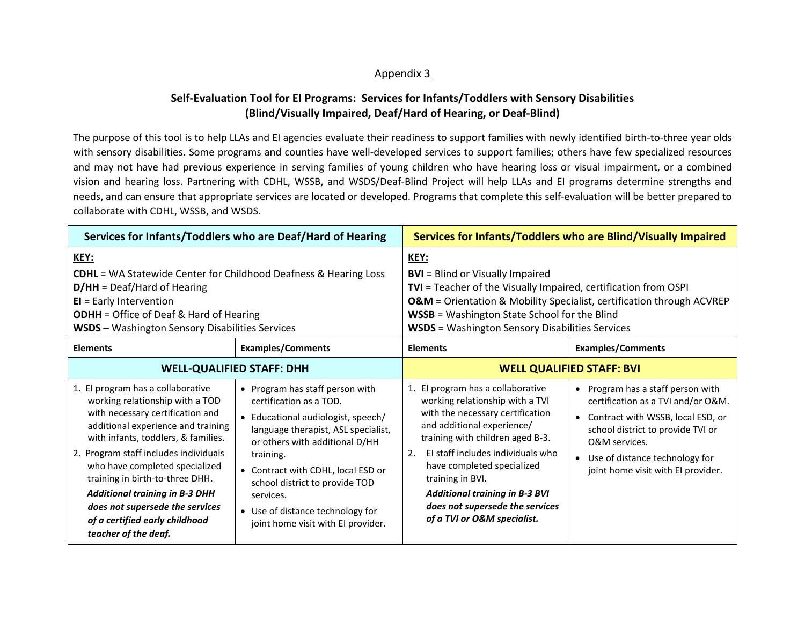## Appendix 3

## **Self-Evaluation Tool for EI Programs: Services for Infants/Toddlers with Sensory Disabilities (Blind/Visually Impaired, Deaf/Hard of Hearing, or Deaf-Blind)**

The purpose of this tool is to help LLAs and EI agencies evaluate their readiness to support families with newly identified birth-to-three year olds with sensory disabilities. Some programs and counties have well-developed services to support families; others have few specialized resources and may not have had previous experience in serving families of young children who have hearing loss or visual impairment, or a combined vision and hearing loss. Partnering with CDHL, WSSB, and WSDS/Deaf-Blind Project will help LLAs and EI programs determine strengths and needs, and can ensure that appropriate services are located or developed. Programs that complete this self-evaluation will be better prepared to collaborate with CDHL, WSSB, and WSDS.

| Services for Infants/Toddlers who are Deaf/Hard of Hearing                                                                                                                                                                                                                                                                                                                                                                                |                                                                                                                                                                                                                                                                                                                                                     | Services for Infants/Toddlers who are Blind/Visually Impaired                                                                                                                                                                                                                                                                                                                      |                                                                                                                                                                                                                                              |
|-------------------------------------------------------------------------------------------------------------------------------------------------------------------------------------------------------------------------------------------------------------------------------------------------------------------------------------------------------------------------------------------------------------------------------------------|-----------------------------------------------------------------------------------------------------------------------------------------------------------------------------------------------------------------------------------------------------------------------------------------------------------------------------------------------------|------------------------------------------------------------------------------------------------------------------------------------------------------------------------------------------------------------------------------------------------------------------------------------------------------------------------------------------------------------------------------------|----------------------------------------------------------------------------------------------------------------------------------------------------------------------------------------------------------------------------------------------|
| KEY:<br><b>CDHL</b> = WA Statewide Center for Childhood Deafness & Hearing Loss<br>$D/HH = Deaf/Hard$ of Hearing<br>$EI = Early Intervention$<br><b>ODHH</b> = Office of Deaf & Hard of Hearing<br><b>WSDS</b> - Washington Sensory Disabilities Services                                                                                                                                                                                 |                                                                                                                                                                                                                                                                                                                                                     | KEY:<br><b>BVI</b> = Blind or Visually Impaired<br>TVI = Teacher of the Visually Impaired, certification from OSPI<br><b>O&amp;M</b> = Orientation & Mobility Specialist, certification through ACVREP<br><b>WSSB</b> = Washington State School for the Blind<br><b>WSDS</b> = Washington Sensory Disabilities Services                                                            |                                                                                                                                                                                                                                              |
| <b>Elements</b>                                                                                                                                                                                                                                                                                                                                                                                                                           | <b>Examples/Comments</b>                                                                                                                                                                                                                                                                                                                            | <b>Elements</b>                                                                                                                                                                                                                                                                                                                                                                    | <b>Examples/Comments</b>                                                                                                                                                                                                                     |
|                                                                                                                                                                                                                                                                                                                                                                                                                                           | <b>WELL-QUALIFIED STAFF: DHH</b>                                                                                                                                                                                                                                                                                                                    | <b>WELL QUALIFIED STAFF: BVI</b>                                                                                                                                                                                                                                                                                                                                                   |                                                                                                                                                                                                                                              |
| 1. El program has a collaborative<br>working relationship with a TOD<br>with necessary certification and<br>additional experience and training<br>with infants, toddlers, & families.<br>2. Program staff includes individuals<br>who have completed specialized<br>training in birth-to-three DHH.<br><b>Additional training in B-3 DHH</b><br>does not supersede the services<br>of a certified early childhood<br>teacher of the deaf. | • Program has staff person with<br>certification as a TOD.<br>Educational audiologist, speech/<br>language therapist, ASL specialist,<br>or others with additional D/HH<br>training.<br>• Contract with CDHL, local ESD or<br>school district to provide TOD<br>services.<br>• Use of distance technology for<br>joint home visit with EI provider. | 1. El program has a collaborative<br>working relationship with a TVI<br>with the necessary certification<br>and additional experience/<br>training with children aged B-3.<br>El staff includes individuals who<br>2.<br>have completed specialized<br>training in BVI.<br><b>Additional training in B-3 BVI</b><br>does not supersede the services<br>of a TVI or O&M specialist. | • Program has a staff person with<br>certification as a TVI and/or O&M.<br>Contract with WSSB, local ESD, or<br>school district to provide TVI or<br>O&M services.<br>• Use of distance technology for<br>joint home visit with EI provider. |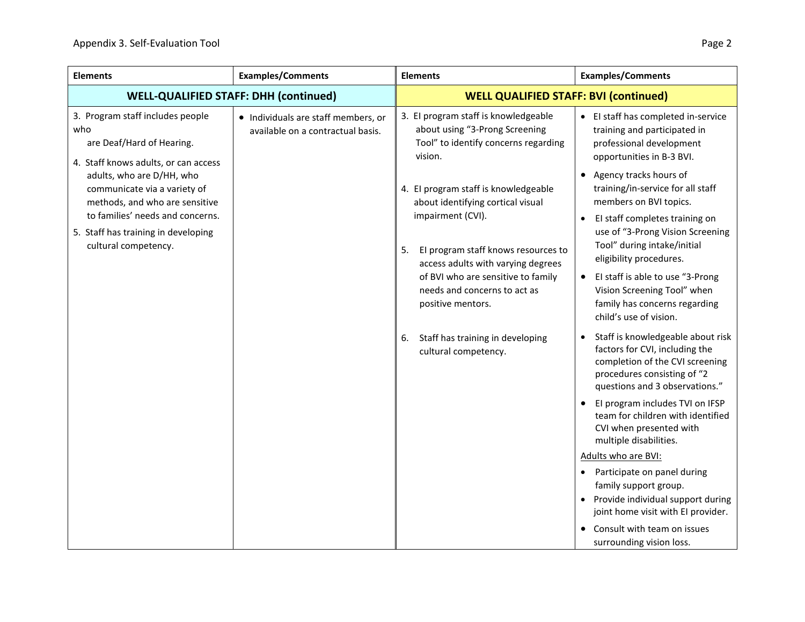| <b>Elements</b>                                                                                              | <b>Examples/Comments</b>                                                                             | <b>Elements</b>                                                                                                              | <b>Examples/Comments</b>                                                                                                                                                |
|--------------------------------------------------------------------------------------------------------------|------------------------------------------------------------------------------------------------------|------------------------------------------------------------------------------------------------------------------------------|-------------------------------------------------------------------------------------------------------------------------------------------------------------------------|
| <b>WELL-QUALIFIED STAFF: DHH (continued)</b>                                                                 |                                                                                                      | <b>WELL QUALIFIED STAFF: BVI (continued)</b>                                                                                 |                                                                                                                                                                         |
| 3. Program staff includes people<br>who<br>are Deaf/Hard of Hearing.<br>4. Staff knows adults, or can access | • Individuals are staff members, or<br>available on a contractual basis.                             | 3. El program staff is knowledgeable<br>about using "3-Prong Screening<br>Tool" to identify concerns regarding<br>vision.    | • El staff has completed in-service<br>training and participated in<br>professional development<br>opportunities in B-3 BVI.                                            |
| adults, who are D/HH, who<br>communicate via a variety of<br>methods, and who are sensitive                  |                                                                                                      | 4. El program staff is knowledgeable<br>about identifying cortical visual                                                    | Agency tracks hours of<br>training/in-service for all staff<br>members on BVI topics.                                                                                   |
| to families' needs and concerns.<br>5. Staff has training in developing<br>cultural competency.              | impairment (CVI).<br>5.<br>El program staff knows resources to<br>access adults with varying degrees | El staff completes training on<br>use of "3-Prong Vision Screening<br>Tool" during intake/initial<br>eligibility procedures. |                                                                                                                                                                         |
|                                                                                                              |                                                                                                      | of BVI who are sensitive to family<br>needs and concerns to act as<br>positive mentors.                                      | El staff is able to use "3-Prong<br>$\bullet$<br>Vision Screening Tool" when<br>family has concerns regarding<br>child's use of vision.                                 |
|                                                                                                              |                                                                                                      | Staff has training in developing<br>6.<br>cultural competency.                                                               | Staff is knowledgeable about risk<br>factors for CVI, including the<br>completion of the CVI screening<br>procedures consisting of "2<br>questions and 3 observations." |
|                                                                                                              |                                                                                                      |                                                                                                                              | El program includes TVI on IFSP<br>team for children with identified<br>CVI when presented with<br>multiple disabilities.                                               |
|                                                                                                              |                                                                                                      |                                                                                                                              | Adults who are BVI:                                                                                                                                                     |
|                                                                                                              |                                                                                                      |                                                                                                                              | Participate on panel during<br>$\bullet$<br>family support group.<br>Provide individual support during<br>joint home visit with EI provider.                            |
|                                                                                                              |                                                                                                      |                                                                                                                              | Consult with team on issues<br>surrounding vision loss.                                                                                                                 |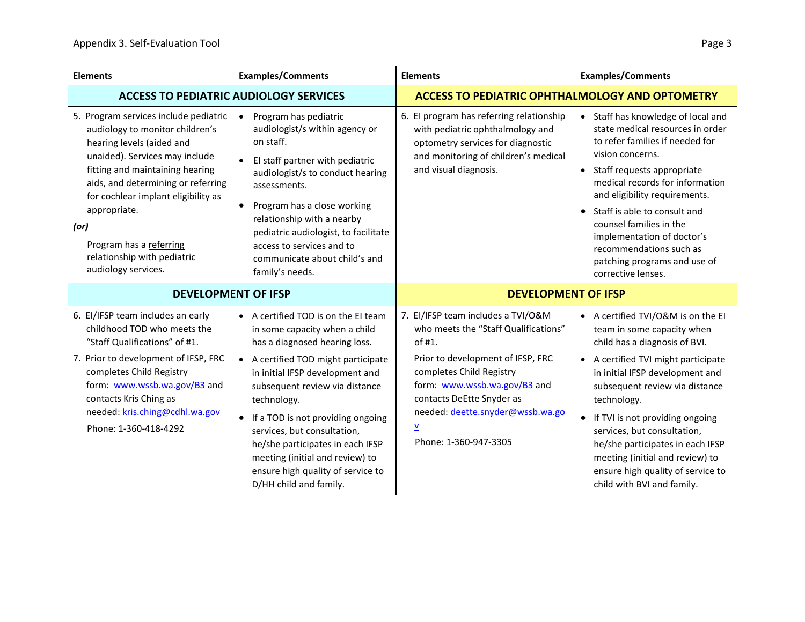| <b>Elements</b>                                                                                                                                                                                                                                                                                                                                                  | <b>Examples/Comments</b>                                                                                                                                                                                                                                                                                                                                                                                                                     | <b>Elements</b>                                                                                                                                                                                                                                                                                             | <b>Examples/Comments</b>                                                                                                                                                                                                                                                                                                                                                                                                                 |
|------------------------------------------------------------------------------------------------------------------------------------------------------------------------------------------------------------------------------------------------------------------------------------------------------------------------------------------------------------------|----------------------------------------------------------------------------------------------------------------------------------------------------------------------------------------------------------------------------------------------------------------------------------------------------------------------------------------------------------------------------------------------------------------------------------------------|-------------------------------------------------------------------------------------------------------------------------------------------------------------------------------------------------------------------------------------------------------------------------------------------------------------|------------------------------------------------------------------------------------------------------------------------------------------------------------------------------------------------------------------------------------------------------------------------------------------------------------------------------------------------------------------------------------------------------------------------------------------|
| <b>ACCESS TO PEDIATRIC AUDIOLOGY SERVICES</b>                                                                                                                                                                                                                                                                                                                    |                                                                                                                                                                                                                                                                                                                                                                                                                                              | <b>ACCESS TO PEDIATRIC OPHTHALMOLOGY AND OPTOMETRY</b>                                                                                                                                                                                                                                                      |                                                                                                                                                                                                                                                                                                                                                                                                                                          |
| 5. Program services include pediatric<br>audiology to monitor children's<br>hearing levels (aided and<br>unaided). Services may include<br>fitting and maintaining hearing<br>aids, and determining or referring<br>for cochlear implant eligibility as<br>appropriate.<br>(or)<br>Program has a referring<br>relationship with pediatric<br>audiology services. | Program has pediatric<br>$\bullet$<br>audiologist/s within agency or<br>on staff.<br>El staff partner with pediatric<br>$\bullet$<br>audiologist/s to conduct hearing<br>assessments.<br>Program has a close working<br>relationship with a nearby<br>pediatric audiologist, to facilitate<br>access to services and to<br>communicate about child's and<br>family's needs.                                                                  | 6. El program has referring relationship<br>with pediatric ophthalmology and<br>optometry services for diagnostic<br>and monitoring of children's medical<br>and visual diagnosis.                                                                                                                          | Staff has knowledge of local and<br>state medical resources in order<br>to refer families if needed for<br>vision concerns.<br>Staff requests appropriate<br>$\bullet$<br>medical records for information<br>and eligibility requirements.<br>Staff is able to consult and<br>counsel families in the<br>implementation of doctor's<br>recommendations such as<br>patching programs and use of<br>corrective lenses.                     |
| <b>DEVELOPMENT OF IFSP</b>                                                                                                                                                                                                                                                                                                                                       |                                                                                                                                                                                                                                                                                                                                                                                                                                              | <b>DEVELOPMENT OF IFSP</b>                                                                                                                                                                                                                                                                                  |                                                                                                                                                                                                                                                                                                                                                                                                                                          |
| 6. El/IFSP team includes an early<br>childhood TOD who meets the<br>"Staff Qualifications" of #1.<br>7. Prior to development of IFSP, FRC<br>completes Child Registry<br>form: www.wssb.wa.gov/B3 and<br>contacts Kris Ching as<br>needed: kris.ching@cdhl.wa.gov<br>Phone: 1-360-418-4292                                                                       | • A certified TOD is on the EI team<br>in some capacity when a child<br>has a diagnosed hearing loss.<br>• A certified TOD might participate<br>in initial IFSP development and<br>subsequent review via distance<br>technology.<br>• If a TOD is not providing ongoing<br>services, but consultation,<br>he/she participates in each IFSP<br>meeting (initial and review) to<br>ensure high quality of service to<br>D/HH child and family. | 7. EI/IFSP team includes a TVI/O&M<br>who meets the "Staff Qualifications"<br>of #1.<br>Prior to development of IFSP, FRC<br>completes Child Registry<br>form: www.wssb.wa.gov/B3 and<br>contacts DeEtte Snyder as<br>needed: deette.snyder@wssb.wa.go<br>$\underline{\mathsf{v}}$<br>Phone: 1-360-947-3305 | • A certified TVI/O&M is on the EI<br>team in some capacity when<br>child has a diagnosis of BVI.<br>A certified TVI might participate<br>in initial IFSP development and<br>subsequent review via distance<br>technology.<br>• If TVI is not providing ongoing<br>services, but consultation,<br>he/she participates in each IFSP<br>meeting (initial and review) to<br>ensure high quality of service to<br>child with BVI and family. |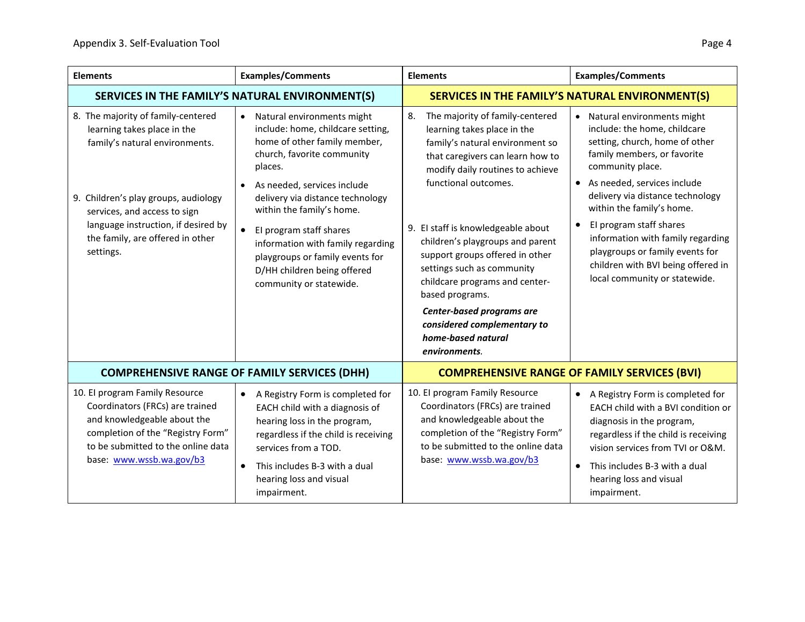| <b>Elements</b>                                                                                                                                                                                                                                                     | <b>Examples/Comments</b>                                                                                                                                                                                                                                                                                                                                                                                                                     | <b>Elements</b>                                                                                                                                                                                                                                                                                                                                                                                                                                                                                            | <b>Examples/Comments</b>                                                                                                                                                                                                                                                                                                                                                                                                               |
|---------------------------------------------------------------------------------------------------------------------------------------------------------------------------------------------------------------------------------------------------------------------|----------------------------------------------------------------------------------------------------------------------------------------------------------------------------------------------------------------------------------------------------------------------------------------------------------------------------------------------------------------------------------------------------------------------------------------------|------------------------------------------------------------------------------------------------------------------------------------------------------------------------------------------------------------------------------------------------------------------------------------------------------------------------------------------------------------------------------------------------------------------------------------------------------------------------------------------------------------|----------------------------------------------------------------------------------------------------------------------------------------------------------------------------------------------------------------------------------------------------------------------------------------------------------------------------------------------------------------------------------------------------------------------------------------|
| SERVICES IN THE FAMILY'S NATURAL ENVIRONMENT(S)                                                                                                                                                                                                                     |                                                                                                                                                                                                                                                                                                                                                                                                                                              |                                                                                                                                                                                                                                                                                                                                                                                                                                                                                                            | SERVICES IN THE FAMILY'S NATURAL ENVIRONMENT(S)                                                                                                                                                                                                                                                                                                                                                                                        |
| 8. The majority of family-centered<br>learning takes place in the<br>family's natural environments.<br>9. Children's play groups, audiology<br>services, and access to sign<br>language instruction, if desired by<br>the family, are offered in other<br>settings. | Natural environments might<br>$\bullet$<br>include: home, childcare setting,<br>home of other family member,<br>church, favorite community<br>places.<br>As needed, services include<br>$\bullet$<br>delivery via distance technology<br>within the family's home.<br>El program staff shares<br>$\bullet$<br>information with family regarding<br>playgroups or family events for<br>D/HH children being offered<br>community or statewide. | 8.<br>The majority of family-centered<br>learning takes place in the<br>family's natural environment so<br>that caregivers can learn how to<br>modify daily routines to achieve<br>functional outcomes.<br>9. El staff is knowledgeable about<br>children's playgroups and parent<br>support groups offered in other<br>settings such as community<br>childcare programs and center-<br>based programs.<br>Center-based programs are<br>considered complementary to<br>home-based natural<br>environments. | Natural environments might<br>include: the home, childcare<br>setting, church, home of other<br>family members, or favorite<br>community place.<br>As needed, services include<br>$\bullet$<br>delivery via distance technology<br>within the family's home.<br>El program staff shares<br>information with family regarding<br>playgroups or family events for<br>children with BVI being offered in<br>local community or statewide. |
| <b>COMPREHENSIVE RANGE OF FAMILY SERVICES (DHH)</b>                                                                                                                                                                                                                 |                                                                                                                                                                                                                                                                                                                                                                                                                                              |                                                                                                                                                                                                                                                                                                                                                                                                                                                                                                            | <b>COMPREHENSIVE RANGE OF FAMILY SERVICES (BVI)</b>                                                                                                                                                                                                                                                                                                                                                                                    |
| 10. El program Family Resource<br>Coordinators (FRCs) are trained<br>and knowledgeable about the<br>completion of the "Registry Form"<br>to be submitted to the online data<br>base: www.wssb.wa.gov/b3                                                             | A Registry Form is completed for<br>$\bullet$<br>EACH child with a diagnosis of<br>hearing loss in the program,<br>regardless if the child is receiving<br>services from a TOD.<br>This includes B-3 with a dual<br>$\bullet$<br>hearing loss and visual<br>impairment.                                                                                                                                                                      | 10. El program Family Resource<br>Coordinators (FRCs) are trained<br>and knowledgeable about the<br>completion of the "Registry Form"<br>to be submitted to the online data<br>base: www.wssb.wa.gov/b3                                                                                                                                                                                                                                                                                                    | A Registry Form is completed for<br>$\bullet$<br>EACH child with a BVI condition or<br>diagnosis in the program,<br>regardless if the child is receiving<br>vision services from TVI or O&M.<br>This includes B-3 with a dual<br>hearing loss and visual<br>impairment.                                                                                                                                                                |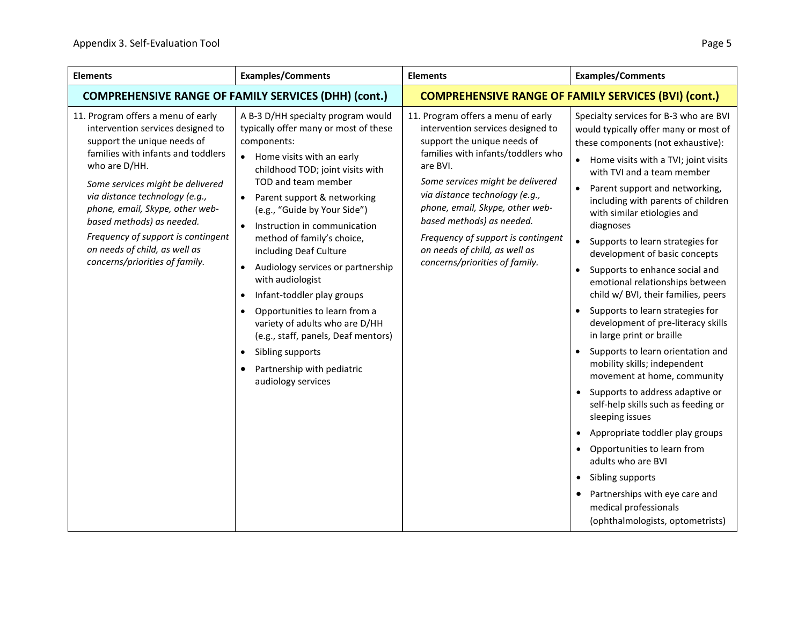| <b>Elements</b>                                                                                                                                                                                                                                                                                                                                                                                              | <b>Examples/Comments</b>                                                                                                                                                                                                                                                                                                                                                                                                                                                                                                                                                                                                                                               | <b>Elements</b>                                                                                                                                                                                                                                                                                                                                                                                         | <b>Examples/Comments</b>                                                                                                                                                                                                                                                                                                                                                                                                                                                                                                                                                                                                                                                                                                                                                                                                                                                                                                                                                                                                                                                                                                      |
|--------------------------------------------------------------------------------------------------------------------------------------------------------------------------------------------------------------------------------------------------------------------------------------------------------------------------------------------------------------------------------------------------------------|------------------------------------------------------------------------------------------------------------------------------------------------------------------------------------------------------------------------------------------------------------------------------------------------------------------------------------------------------------------------------------------------------------------------------------------------------------------------------------------------------------------------------------------------------------------------------------------------------------------------------------------------------------------------|---------------------------------------------------------------------------------------------------------------------------------------------------------------------------------------------------------------------------------------------------------------------------------------------------------------------------------------------------------------------------------------------------------|-------------------------------------------------------------------------------------------------------------------------------------------------------------------------------------------------------------------------------------------------------------------------------------------------------------------------------------------------------------------------------------------------------------------------------------------------------------------------------------------------------------------------------------------------------------------------------------------------------------------------------------------------------------------------------------------------------------------------------------------------------------------------------------------------------------------------------------------------------------------------------------------------------------------------------------------------------------------------------------------------------------------------------------------------------------------------------------------------------------------------------|
| <b>COMPREHENSIVE RANGE OF FAMILY SERVICES (DHH) (cont.)</b>                                                                                                                                                                                                                                                                                                                                                  |                                                                                                                                                                                                                                                                                                                                                                                                                                                                                                                                                                                                                                                                        | <b>COMPREHENSIVE RANGE OF FAMILY SERVICES (BVI) (cont.)</b>                                                                                                                                                                                                                                                                                                                                             |                                                                                                                                                                                                                                                                                                                                                                                                                                                                                                                                                                                                                                                                                                                                                                                                                                                                                                                                                                                                                                                                                                                               |
| 11. Program offers a menu of early<br>intervention services designed to<br>support the unique needs of<br>families with infants and toddlers<br>who are D/HH.<br>Some services might be delivered<br>via distance technology (e.g.,<br>phone, email, Skype, other web-<br>based methods) as needed.<br>Frequency of support is contingent<br>on needs of child, as well as<br>concerns/priorities of family. | A B-3 D/HH specialty program would<br>typically offer many or most of these<br>components:<br>Home visits with an early<br>$\bullet$<br>childhood TOD; joint visits with<br>TOD and team member<br>Parent support & networking<br>(e.g., "Guide by Your Side")<br>Instruction in communication<br>method of family's choice,<br>including Deaf Culture<br>Audiology services or partnership<br>$\bullet$<br>with audiologist<br>Infant-toddler play groups<br>$\bullet$<br>Opportunities to learn from a<br>variety of adults who are D/HH<br>(e.g., staff, panels, Deaf mentors)<br>Sibling supports<br>$\bullet$<br>Partnership with pediatric<br>audiology services | 11. Program offers a menu of early<br>intervention services designed to<br>support the unique needs of<br>families with infants/toddlers who<br>are BVI.<br>Some services might be delivered<br>via distance technology (e.g.,<br>phone, email, Skype, other web-<br>based methods) as needed.<br>Frequency of support is contingent<br>on needs of child, as well as<br>concerns/priorities of family. | Specialty services for B-3 who are BVI<br>would typically offer many or most of<br>these components (not exhaustive):<br>Home visits with a TVI; joint visits<br>$\bullet$<br>with TVI and a team member<br>Parent support and networking,<br>$\bullet$<br>including with parents of children<br>with similar etiologies and<br>diagnoses<br>Supports to learn strategies for<br>$\bullet$<br>development of basic concepts<br>Supports to enhance social and<br>$\bullet$<br>emotional relationships between<br>child w/ BVI, their families, peers<br>Supports to learn strategies for<br>development of pre-literacy skills<br>in large print or braille<br>Supports to learn orientation and<br>mobility skills; independent<br>movement at home, community<br>• Supports to address adaptive or<br>self-help skills such as feeding or<br>sleeping issues<br>Appropriate toddler play groups<br>$\bullet$<br>Opportunities to learn from<br>$\bullet$<br>adults who are BVI<br>Sibling supports<br>$\bullet$<br>Partnerships with eye care and<br>$\bullet$<br>medical professionals<br>(ophthalmologists, optometrists) |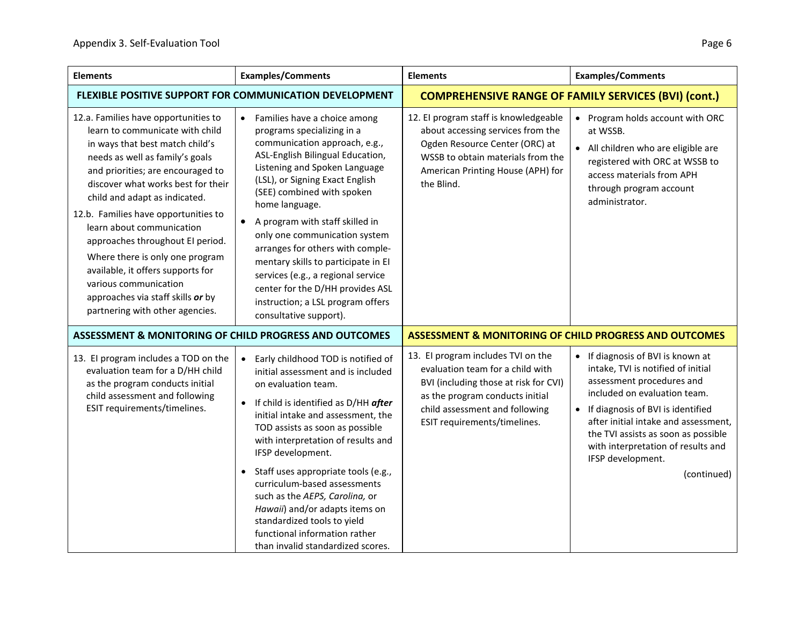| <b>Elements</b>                                                                                                                                                                                                                                                                                                                                                                                                                                                                                                                             | <b>Examples/Comments</b>                                                                                                                                                                                                                                                                                                                                                                                                                                                                                                                                           | <b>Elements</b>                                                                                                                                                                                                      | <b>Examples/Comments</b>                                                                                                                                                                                                                                                                                                             |
|---------------------------------------------------------------------------------------------------------------------------------------------------------------------------------------------------------------------------------------------------------------------------------------------------------------------------------------------------------------------------------------------------------------------------------------------------------------------------------------------------------------------------------------------|--------------------------------------------------------------------------------------------------------------------------------------------------------------------------------------------------------------------------------------------------------------------------------------------------------------------------------------------------------------------------------------------------------------------------------------------------------------------------------------------------------------------------------------------------------------------|----------------------------------------------------------------------------------------------------------------------------------------------------------------------------------------------------------------------|--------------------------------------------------------------------------------------------------------------------------------------------------------------------------------------------------------------------------------------------------------------------------------------------------------------------------------------|
| FLEXIBLE POSITIVE SUPPORT FOR COMMUNICATION DEVELOPMENT                                                                                                                                                                                                                                                                                                                                                                                                                                                                                     |                                                                                                                                                                                                                                                                                                                                                                                                                                                                                                                                                                    | <b>COMPREHENSIVE RANGE OF FAMILY SERVICES (BVI) (cont.)</b>                                                                                                                                                          |                                                                                                                                                                                                                                                                                                                                      |
| 12.a. Families have opportunities to<br>learn to communicate with child<br>in ways that best match child's<br>needs as well as family's goals<br>and priorities; are encouraged to<br>discover what works best for their<br>child and adapt as indicated.<br>12.b. Families have opportunities to<br>learn about communication<br>approaches throughout EI period.<br>Where there is only one program<br>available, it offers supports for<br>various communication<br>approaches via staff skills or by<br>partnering with other agencies. | • Families have a choice among<br>programs specializing in a<br>communication approach, e.g.,<br>ASL-English Bilingual Education,<br>Listening and Spoken Language<br>(LSL), or Signing Exact English<br>(SEE) combined with spoken<br>home language.<br>A program with staff skilled in<br>only one communication system<br>arranges for others with comple-<br>mentary skills to participate in El<br>services (e.g., a regional service<br>center for the D/HH provides ASL<br>instruction; a LSL program offers<br>consultative support).                      | 12. El program staff is knowledgeable<br>about accessing services from the<br>Ogden Resource Center (ORC) at<br>WSSB to obtain materials from the<br>American Printing House (APH) for<br>the Blind.                 | Program holds account with ORC<br>$\bullet$<br>at WSSB.<br>• All children who are eligible are<br>registered with ORC at WSSB to<br>access materials from APH<br>through program account<br>administrator.                                                                                                                           |
| ASSESSMENT & MONITORING OF CHILD PROGRESS AND OUTCOMES                                                                                                                                                                                                                                                                                                                                                                                                                                                                                      |                                                                                                                                                                                                                                                                                                                                                                                                                                                                                                                                                                    | <b>ASSESSMENT &amp; MONITORING OF CHILD PROGRESS AND OUTCOMES</b>                                                                                                                                                    |                                                                                                                                                                                                                                                                                                                                      |
| 13. El program includes a TOD on the<br>evaluation team for a D/HH child<br>as the program conducts initial<br>child assessment and following<br>ESIT requirements/timelines.                                                                                                                                                                                                                                                                                                                                                               | Early childhood TOD is notified of<br>$\bullet$<br>initial assessment and is included<br>on evaluation team.<br>If child is identified as D/HH after<br>$\bullet$<br>initial intake and assessment, the<br>TOD assists as soon as possible<br>with interpretation of results and<br>IFSP development.<br>Staff uses appropriate tools (e.g.,<br>$\bullet$<br>curriculum-based assessments<br>such as the AEPS, Carolina, or<br>Hawaii) and/or adapts items on<br>standardized tools to yield<br>functional information rather<br>than invalid standardized scores. | 13. El program includes TVI on the<br>evaluation team for a child with<br>BVI (including those at risk for CVI)<br>as the program conducts initial<br>child assessment and following<br>ESIT requirements/timelines. | • If diagnosis of BVI is known at<br>intake, TVI is notified of initial<br>assessment procedures and<br>included on evaluation team.<br>• If diagnosis of BVI is identified<br>after initial intake and assessment,<br>the TVI assists as soon as possible<br>with interpretation of results and<br>IFSP development.<br>(continued) |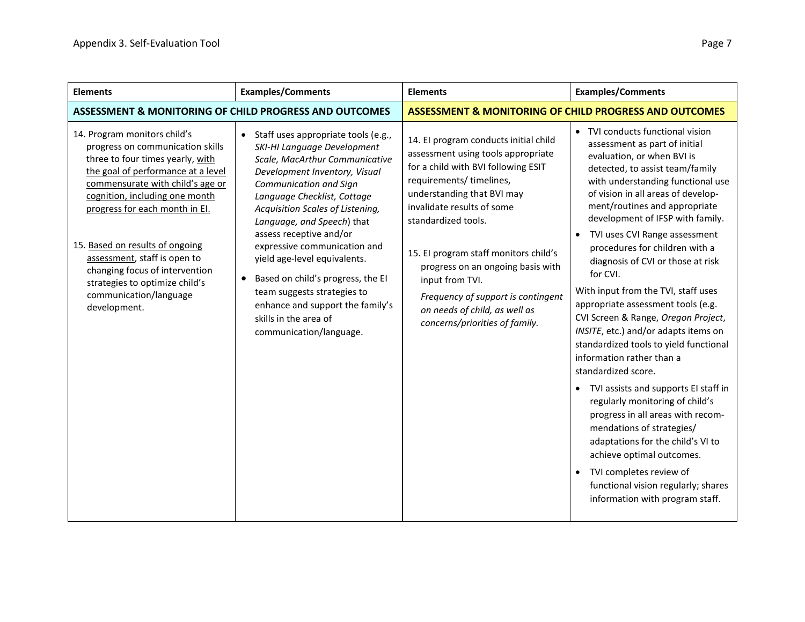| <b>Elements</b>                                                                                                                                                                                                                                                                                                                                                                                                                     | <b>Examples/Comments</b>                                                                                                                                                                                                                                                                                                                                                                                                                                                                                                             | <b>Elements</b>                                                                                                                                                                                                                                                                                                                                                                                                                             | <b>Examples/Comments</b>                                                                                                                                                                                                                                                                                                                                                                                                                                                                                                                                                                                                                                                                                                                                                                                                                                                                                                                                                                                         |
|-------------------------------------------------------------------------------------------------------------------------------------------------------------------------------------------------------------------------------------------------------------------------------------------------------------------------------------------------------------------------------------------------------------------------------------|--------------------------------------------------------------------------------------------------------------------------------------------------------------------------------------------------------------------------------------------------------------------------------------------------------------------------------------------------------------------------------------------------------------------------------------------------------------------------------------------------------------------------------------|---------------------------------------------------------------------------------------------------------------------------------------------------------------------------------------------------------------------------------------------------------------------------------------------------------------------------------------------------------------------------------------------------------------------------------------------|------------------------------------------------------------------------------------------------------------------------------------------------------------------------------------------------------------------------------------------------------------------------------------------------------------------------------------------------------------------------------------------------------------------------------------------------------------------------------------------------------------------------------------------------------------------------------------------------------------------------------------------------------------------------------------------------------------------------------------------------------------------------------------------------------------------------------------------------------------------------------------------------------------------------------------------------------------------------------------------------------------------|
| ASSESSMENT & MONITORING OF CHILD PROGRESS AND OUTCOMES                                                                                                                                                                                                                                                                                                                                                                              |                                                                                                                                                                                                                                                                                                                                                                                                                                                                                                                                      | <b>ASSESSMENT &amp; MONITORING OF CHILD PROGRESS AND OUTCOMES</b>                                                                                                                                                                                                                                                                                                                                                                           |                                                                                                                                                                                                                                                                                                                                                                                                                                                                                                                                                                                                                                                                                                                                                                                                                                                                                                                                                                                                                  |
| 14. Program monitors child's<br>progress on communication skills<br>three to four times yearly, with<br>the goal of performance at a level<br>commensurate with child's age or<br>cognition, including one month<br>progress for each month in El.<br>15. Based on results of ongoing<br>assessment, staff is open to<br>changing focus of intervention<br>strategies to optimize child's<br>communication/language<br>development. | Staff uses appropriate tools (e.g.,<br>SKI-HI Language Development<br>Scale, MacArthur Communicative<br>Development Inventory, Visual<br>Communication and Sign<br>Language Checklist, Cottage<br>Acquisition Scales of Listening,<br>Language, and Speech) that<br>assess receptive and/or<br>expressive communication and<br>yield age-level equivalents.<br>Based on child's progress, the EI<br>$\bullet$<br>team suggests strategies to<br>enhance and support the family's<br>skills in the area of<br>communication/language. | 14. El program conducts initial child<br>assessment using tools appropriate<br>for a child with BVI following ESIT<br>requirements/ timelines,<br>understanding that BVI may<br>invalidate results of some<br>standardized tools.<br>15. El program staff monitors child's<br>progress on an ongoing basis with<br>input from TVI.<br>Frequency of support is contingent<br>on needs of child, as well as<br>concerns/priorities of family. | • TVI conducts functional vision<br>assessment as part of initial<br>evaluation, or when BVI is<br>detected, to assist team/family<br>with understanding functional use<br>of vision in all areas of develop-<br>ment/routines and appropriate<br>development of IFSP with family.<br>TVI uses CVI Range assessment<br>$\bullet$<br>procedures for children with a<br>diagnosis of CVI or those at risk<br>for CVI.<br>With input from the TVI, staff uses<br>appropriate assessment tools (e.g.<br>CVI Screen & Range, Oregon Project,<br>INSITE, etc.) and/or adapts items on<br>standardized tools to yield functional<br>information rather than a<br>standardized score.<br>• TVI assists and supports EI staff in<br>regularly monitoring of child's<br>progress in all areas with recom-<br>mendations of strategies/<br>adaptations for the child's VI to<br>achieve optimal outcomes.<br>TVI completes review of<br>$\bullet$<br>functional vision regularly; shares<br>information with program staff. |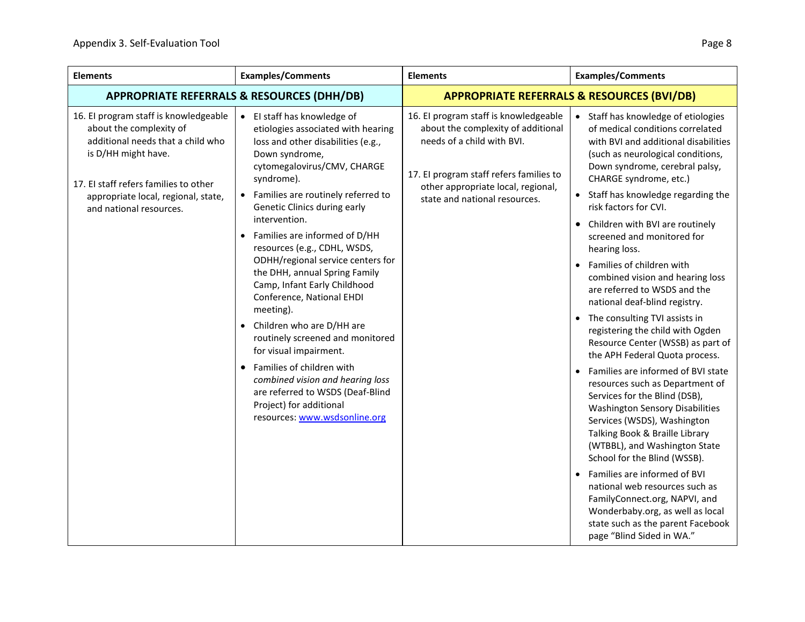| <b>Elements</b>                                                                                                                                                                                                                         | <b>Examples/Comments</b>                                                                                                                                                                                                                                                                                                                                                                                                                                                                                                                                                                                                                                                                                                                                           | <b>Elements</b>                                                                                                                                                                                                             | <b>Examples/Comments</b>                                                                                                                                                                                                                                                                                                                                                                                                                                                                                                                                                                                                                                                                                                                                                                                                                                                               |
|-----------------------------------------------------------------------------------------------------------------------------------------------------------------------------------------------------------------------------------------|--------------------------------------------------------------------------------------------------------------------------------------------------------------------------------------------------------------------------------------------------------------------------------------------------------------------------------------------------------------------------------------------------------------------------------------------------------------------------------------------------------------------------------------------------------------------------------------------------------------------------------------------------------------------------------------------------------------------------------------------------------------------|-----------------------------------------------------------------------------------------------------------------------------------------------------------------------------------------------------------------------------|----------------------------------------------------------------------------------------------------------------------------------------------------------------------------------------------------------------------------------------------------------------------------------------------------------------------------------------------------------------------------------------------------------------------------------------------------------------------------------------------------------------------------------------------------------------------------------------------------------------------------------------------------------------------------------------------------------------------------------------------------------------------------------------------------------------------------------------------------------------------------------------|
|                                                                                                                                                                                                                                         | <b>APPROPRIATE REFERRALS &amp; RESOURCES (DHH/DB)</b>                                                                                                                                                                                                                                                                                                                                                                                                                                                                                                                                                                                                                                                                                                              |                                                                                                                                                                                                                             | <b>APPROPRIATE REFERRALS &amp; RESOURCES (BVI/DB)</b>                                                                                                                                                                                                                                                                                                                                                                                                                                                                                                                                                                                                                                                                                                                                                                                                                                  |
| 16. El program staff is knowledgeable<br>about the complexity of<br>additional needs that a child who<br>is D/HH might have.<br>17. El staff refers families to other<br>appropriate local, regional, state,<br>and national resources. | El staff has knowledge of<br>etiologies associated with hearing<br>loss and other disabilities (e.g.,<br>Down syndrome,<br>cytomegalovirus/CMV, CHARGE<br>syndrome).<br>Families are routinely referred to<br>Genetic Clinics during early<br>intervention.<br>Families are informed of D/HH<br>$\bullet$<br>resources (e.g., CDHL, WSDS,<br>ODHH/regional service centers for<br>the DHH, annual Spring Family<br>Camp, Infant Early Childhood<br>Conference, National EHDI<br>meeting).<br>Children who are D/HH are<br>$\bullet$<br>routinely screened and monitored<br>for visual impairment.<br>Families of children with<br>combined vision and hearing loss<br>are referred to WSDS (Deaf-Blind<br>Project) for additional<br>resources: www.wsdsonline.org | 16. El program staff is knowledgeable<br>about the complexity of additional<br>needs of a child with BVI.<br>17. El program staff refers families to<br>other appropriate local, regional,<br>state and national resources. | • Staff has knowledge of etiologies<br>of medical conditions correlated<br>with BVI and additional disabilities<br>(such as neurological conditions,<br>Down syndrome, cerebral palsy,<br>CHARGE syndrome, etc.)<br>• Staff has knowledge regarding the<br>risk factors for CVI.<br>• Children with BVI are routinely<br>screened and monitored for<br>hearing loss.<br>Families of children with<br>combined vision and hearing loss<br>are referred to WSDS and the<br>national deaf-blind registry.<br>• The consulting TVI assists in<br>registering the child with Ogden<br>Resource Center (WSSB) as part of<br>the APH Federal Quota process.<br>Families are informed of BVI state<br>$\bullet$<br>resources such as Department of<br>Services for the Blind (DSB),<br><b>Washington Sensory Disabilities</b><br>Services (WSDS), Washington<br>Talking Book & Braille Library |
|                                                                                                                                                                                                                                         |                                                                                                                                                                                                                                                                                                                                                                                                                                                                                                                                                                                                                                                                                                                                                                    | (WTBBL), and Washington State<br>School for the Blind (WSSB).<br>Families are informed of BVI<br>$\bullet$                                                                                                                  |                                                                                                                                                                                                                                                                                                                                                                                                                                                                                                                                                                                                                                                                                                                                                                                                                                                                                        |
|                                                                                                                                                                                                                                         |                                                                                                                                                                                                                                                                                                                                                                                                                                                                                                                                                                                                                                                                                                                                                                    |                                                                                                                                                                                                                             | national web resources such as<br>FamilyConnect.org, NAPVI, and<br>Wonderbaby.org, as well as local<br>state such as the parent Facebook<br>page "Blind Sided in WA."                                                                                                                                                                                                                                                                                                                                                                                                                                                                                                                                                                                                                                                                                                                  |